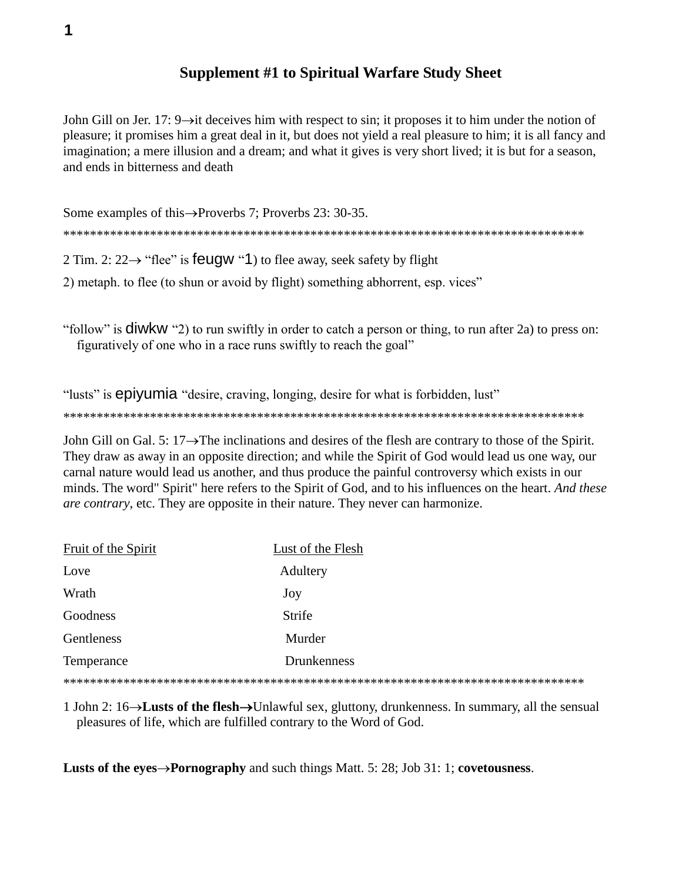## **Supplement #1 to Spiritual Warfare Study Sheet**

John Gill on Jer. 17:  $9\rightarrow$  it deceives him with respect to sin; it proposes it to him under the notion of pleasure; it promises him a great deal in it, but does not yield a real pleasure to him; it is all fancy and imagination; a mere illusion and a dream; and what it gives is very short lived; it is but for a season, and ends in bitterness and death

Some examples of this  $\rightarrow$  Proverbs 7; Proverbs 23: 30-35. 2 Tim. 2:  $22 \rightarrow$  "flee" is feugw "1) to flee away, seek safety by flight

2) metaph. to flee (to shun or avoid by flight) something abhorrent, esp. vices"

"follow" is  $\dim$ KW "2) to run swiftly in order to catch a person or thing, to run after 2a) to press on: figuratively of one who in a race runs swiftly to reach the goal"

"lusts" is epiyumia "desire, craving, longing, desire for what is forbidden, lust"

John Gill on Gal. 5:  $17 \rightarrow$  The inclinations and desires of the flesh are contrary to those of the Spirit. They draw as away in an opposite direction; and while the Spirit of God would lead us one way, our carnal nature would lead us another, and thus produce the painful controversy which exists in our minds. The word" Spirit" here refers to the Spirit of God, and to his influences on the heart. And these *are contrary*, etc. They are opposite in their nature. They never can harmonize.

| Fruit of the Spirit | Lust of the Flesh |
|---------------------|-------------------|
| Love                | Adultery          |
| Wrath               | Joy               |
| Goodness            | Strife            |
| Gentleness          | Murder            |
| Temperance          | Drunkenness       |
|                     |                   |

1 John 2:  $16 \rightarrow$ **Lusts of the flesh** $\rightarrow$ Unlawful sex, gluttony, drunkenness. In summary, all the sensual pleasures of life, which are fulfilled contrary to the Word of God.

**Lusts of the eyes** $\rightarrow$ **Pornography** and such things Matt. 5: 28; Job 31: 1; covetousness.